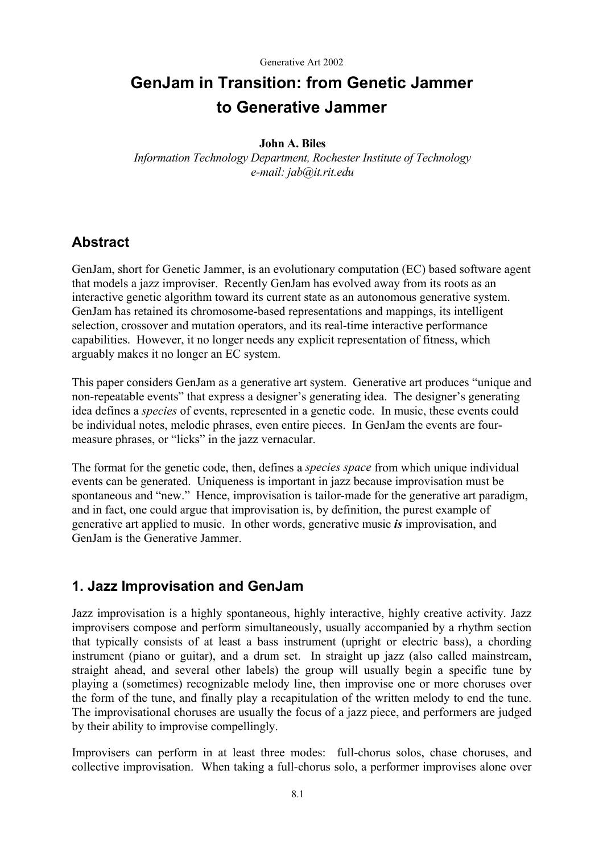# **GenJam in Transition: from Genetic Jammer to Generative Jammer**

#### **John A. Biles**

*Information Technology Department, Rochester Institute of Technology e-mail: jab@it.rit.edu* 

## **Abstract**

GenJam, short for Genetic Jammer, is an evolutionary computation (EC) based software agent that models a jazz improviser. Recently GenJam has evolved away from its roots as an interactive genetic algorithm toward its current state as an autonomous generative system. GenJam has retained its chromosome-based representations and mappings, its intelligent selection, crossover and mutation operators, and its real-time interactive performance capabilities. However, it no longer needs any explicit representation of fitness, which arguably makes it no longer an EC system.

This paper considers GenJam as a generative art system. Generative art produces "unique and non-repeatable events" that express a designer's generating idea. The designer's generating idea defines a *species* of events, represented in a genetic code. In music, these events could be individual notes, melodic phrases, even entire pieces. In GenJam the events are fourmeasure phrases, or "licks" in the jazz vernacular.

The format for the genetic code, then, defines a *species space* from which unique individual events can be generated. Uniqueness is important in jazz because improvisation must be spontaneous and "new." Hence, improvisation is tailor-made for the generative art paradigm, and in fact, one could argue that improvisation is, by definition, the purest example of generative art applied to music. In other words, generative music *is* improvisation, and GenJam is the Generative Jammer.

# **1. Jazz Improvisation and GenJam**

Jazz improvisation is a highly spontaneous, highly interactive, highly creative activity. Jazz improvisers compose and perform simultaneously, usually accompanied by a rhythm section that typically consists of at least a bass instrument (upright or electric bass), a chording instrument (piano or guitar), and a drum set. In straight up jazz (also called mainstream, straight ahead, and several other labels) the group will usually begin a specific tune by playing a (sometimes) recognizable melody line, then improvise one or more choruses over the form of the tune, and finally play a recapitulation of the written melody to end the tune. The improvisational choruses are usually the focus of a jazz piece, and performers are judged by their ability to improvise compellingly.

Improvisers can perform in at least three modes: full-chorus solos, chase choruses, and collective improvisation. When taking a full-chorus solo, a performer improvises alone over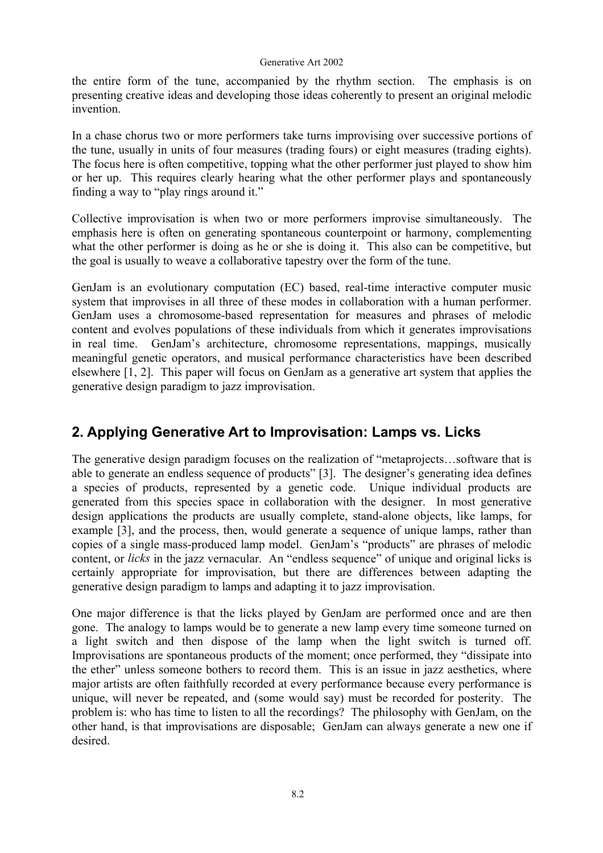#### Generative Art 2002

the entire form of the tune, accompanied by the rhythm section. The emphasis is on presenting creative ideas and developing those ideas coherently to present an original melodic invention.

In a chase chorus two or more performers take turns improvising over successive portions of the tune, usually in units of four measures (trading fours) or eight measures (trading eights). The focus here is often competitive, topping what the other performer just played to show him or her up. This requires clearly hearing what the other performer plays and spontaneously finding a way to "play rings around it."

Collective improvisation is when two or more performers improvise simultaneously. The emphasis here is often on generating spontaneous counterpoint or harmony, complementing what the other performer is doing as he or she is doing it. This also can be competitive, but the goal is usually to weave a collaborative tapestry over the form of the tune.

GenJam is an evolutionary computation (EC) based, real-time interactive computer music system that improvises in all three of these modes in collaboration with a human performer. GenJam uses a chromosome-based representation for measures and phrases of melodic content and evolves populations of these individuals from which it generates improvisations in real time. GenJam's architecture, chromosome representations, mappings, musically meaningful genetic operators, and musical performance characteristics have been described elsewhere [1, 2]. This paper will focus on GenJam as a generative art system that applies the generative design paradigm to jazz improvisation.

# **2. Applying Generative Art to Improvisation: Lamps vs. Licks**

The generative design paradigm focuses on the realization of "metaprojects…software that is able to generate an endless sequence of products" [3]. The designer's generating idea defines a species of products, represented by a genetic code. Unique individual products are generated from this species space in collaboration with the designer. In most generative design applications the products are usually complete, stand-alone objects, like lamps, for example [3], and the process, then, would generate a sequence of unique lamps, rather than copies of a single mass-produced lamp model. GenJam's "products" are phrases of melodic content, or *licks* in the jazz vernacular. An "endless sequence" of unique and original licks is certainly appropriate for improvisation, but there are differences between adapting the generative design paradigm to lamps and adapting it to jazz improvisation.

One major difference is that the licks played by GenJam are performed once and are then gone. The analogy to lamps would be to generate a new lamp every time someone turned on a light switch and then dispose of the lamp when the light switch is turned off. Improvisations are spontaneous products of the moment; once performed, they "dissipate into the ether" unless someone bothers to record them. This is an issue in jazz aesthetics, where major artists are often faithfully recorded at every performance because every performance is unique, will never be repeated, and (some would say) must be recorded for posterity. The problem is: who has time to listen to all the recordings? The philosophy with GenJam, on the other hand, is that improvisations are disposable; GenJam can always generate a new one if desired.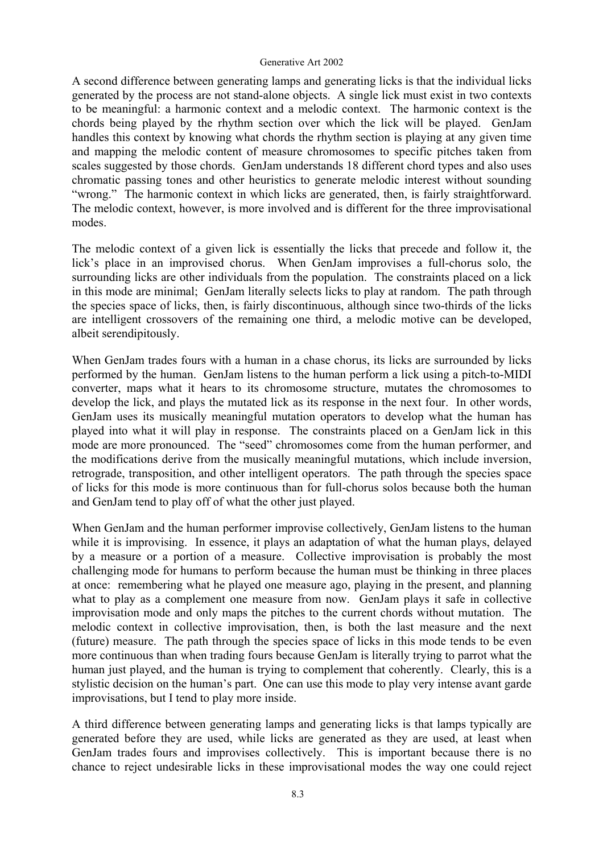#### Generative Art 2002

A second difference between generating lamps and generating licks is that the individual licks generated by the process are not stand-alone objects. A single lick must exist in two contexts to be meaningful: a harmonic context and a melodic context. The harmonic context is the chords being played by the rhythm section over which the lick will be played. GenJam handles this context by knowing what chords the rhythm section is playing at any given time and mapping the melodic content of measure chromosomes to specific pitches taken from scales suggested by those chords. GenJam understands 18 different chord types and also uses chromatic passing tones and other heuristics to generate melodic interest without sounding "wrong." The harmonic context in which licks are generated, then, is fairly straightforward. The melodic context, however, is more involved and is different for the three improvisational modes.

The melodic context of a given lick is essentially the licks that precede and follow it, the lick's place in an improvised chorus. When GenJam improvises a full-chorus solo, the surrounding licks are other individuals from the population. The constraints placed on a lick in this mode are minimal; GenJam literally selects licks to play at random. The path through the species space of licks, then, is fairly discontinuous, although since two-thirds of the licks are intelligent crossovers of the remaining one third, a melodic motive can be developed, albeit serendipitously.

When GenJam trades fours with a human in a chase chorus, its licks are surrounded by licks performed by the human. GenJam listens to the human perform a lick using a pitch-to-MIDI converter, maps what it hears to its chromosome structure, mutates the chromosomes to develop the lick, and plays the mutated lick as its response in the next four. In other words, GenJam uses its musically meaningful mutation operators to develop what the human has played into what it will play in response. The constraints placed on a GenJam lick in this mode are more pronounced. The "seed" chromosomes come from the human performer, and the modifications derive from the musically meaningful mutations, which include inversion, retrograde, transposition, and other intelligent operators. The path through the species space of licks for this mode is more continuous than for full-chorus solos because both the human and GenJam tend to play off of what the other just played.

When GenJam and the human performer improvise collectively, GenJam listens to the human while it is improvising. In essence, it plays an adaptation of what the human plays, delayed by a measure or a portion of a measure. Collective improvisation is probably the most challenging mode for humans to perform because the human must be thinking in three places at once: remembering what he played one measure ago, playing in the present, and planning what to play as a complement one measure from now. GenJam plays it safe in collective improvisation mode and only maps the pitches to the current chords without mutation. The melodic context in collective improvisation, then, is both the last measure and the next (future) measure. The path through the species space of licks in this mode tends to be even more continuous than when trading fours because GenJam is literally trying to parrot what the human just played, and the human is trying to complement that coherently. Clearly, this is a stylistic decision on the human's part. One can use this mode to play very intense avant garde improvisations, but I tend to play more inside.

A third difference between generating lamps and generating licks is that lamps typically are generated before they are used, while licks are generated as they are used, at least when GenJam trades fours and improvises collectively. This is important because there is no chance to reject undesirable licks in these improvisational modes the way one could reject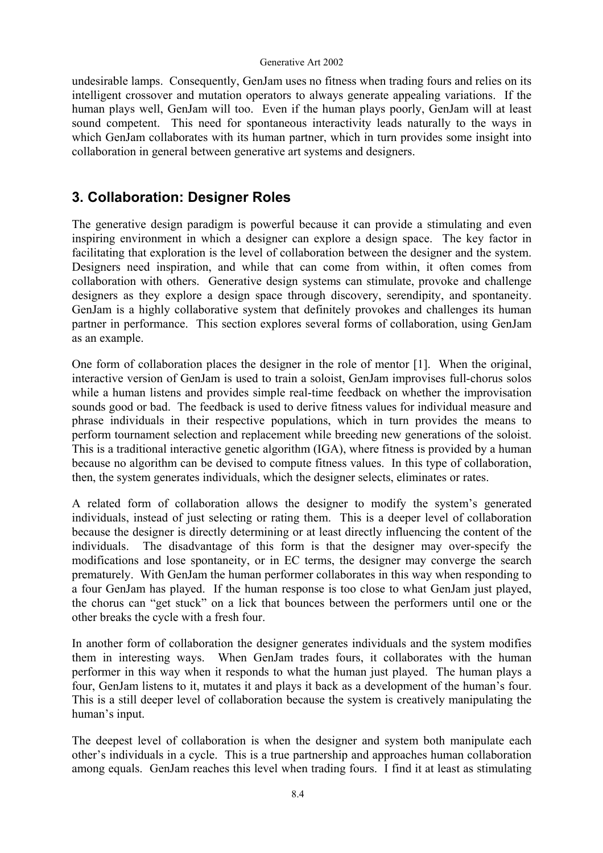#### Generative Art 2002

undesirable lamps. Consequently, GenJam uses no fitness when trading fours and relies on its intelligent crossover and mutation operators to always generate appealing variations. If the human plays well, GenJam will too. Even if the human plays poorly, GenJam will at least sound competent. This need for spontaneous interactivity leads naturally to the ways in which GenJam collaborates with its human partner, which in turn provides some insight into collaboration in general between generative art systems and designers.

### **3. Collaboration: Designer Roles**

The generative design paradigm is powerful because it can provide a stimulating and even inspiring environment in which a designer can explore a design space. The key factor in facilitating that exploration is the level of collaboration between the designer and the system. Designers need inspiration, and while that can come from within, it often comes from collaboration with others. Generative design systems can stimulate, provoke and challenge designers as they explore a design space through discovery, serendipity, and spontaneity. GenJam is a highly collaborative system that definitely provokes and challenges its human partner in performance. This section explores several forms of collaboration, using GenJam as an example.

One form of collaboration places the designer in the role of mentor [1]. When the original, interactive version of GenJam is used to train a soloist, GenJam improvises full-chorus solos while a human listens and provides simple real-time feedback on whether the improvisation sounds good or bad. The feedback is used to derive fitness values for individual measure and phrase individuals in their respective populations, which in turn provides the means to perform tournament selection and replacement while breeding new generations of the soloist. This is a traditional interactive genetic algorithm (IGA), where fitness is provided by a human because no algorithm can be devised to compute fitness values. In this type of collaboration, then, the system generates individuals, which the designer selects, eliminates or rates.

A related form of collaboration allows the designer to modify the system's generated individuals, instead of just selecting or rating them. This is a deeper level of collaboration because the designer is directly determining or at least directly influencing the content of the individuals. The disadvantage of this form is that the designer may over-specify the modifications and lose spontaneity, or in EC terms, the designer may converge the search prematurely. With GenJam the human performer collaborates in this way when responding to a four GenJam has played. If the human response is too close to what GenJam just played, the chorus can "get stuck" on a lick that bounces between the performers until one or the other breaks the cycle with a fresh four.

In another form of collaboration the designer generates individuals and the system modifies them in interesting ways. When GenJam trades fours, it collaborates with the human performer in this way when it responds to what the human just played. The human plays a four, GenJam listens to it, mutates it and plays it back as a development of the human's four. This is a still deeper level of collaboration because the system is creatively manipulating the human's input.

The deepest level of collaboration is when the designer and system both manipulate each other's individuals in a cycle. This is a true partnership and approaches human collaboration among equals. GenJam reaches this level when trading fours. I find it at least as stimulating